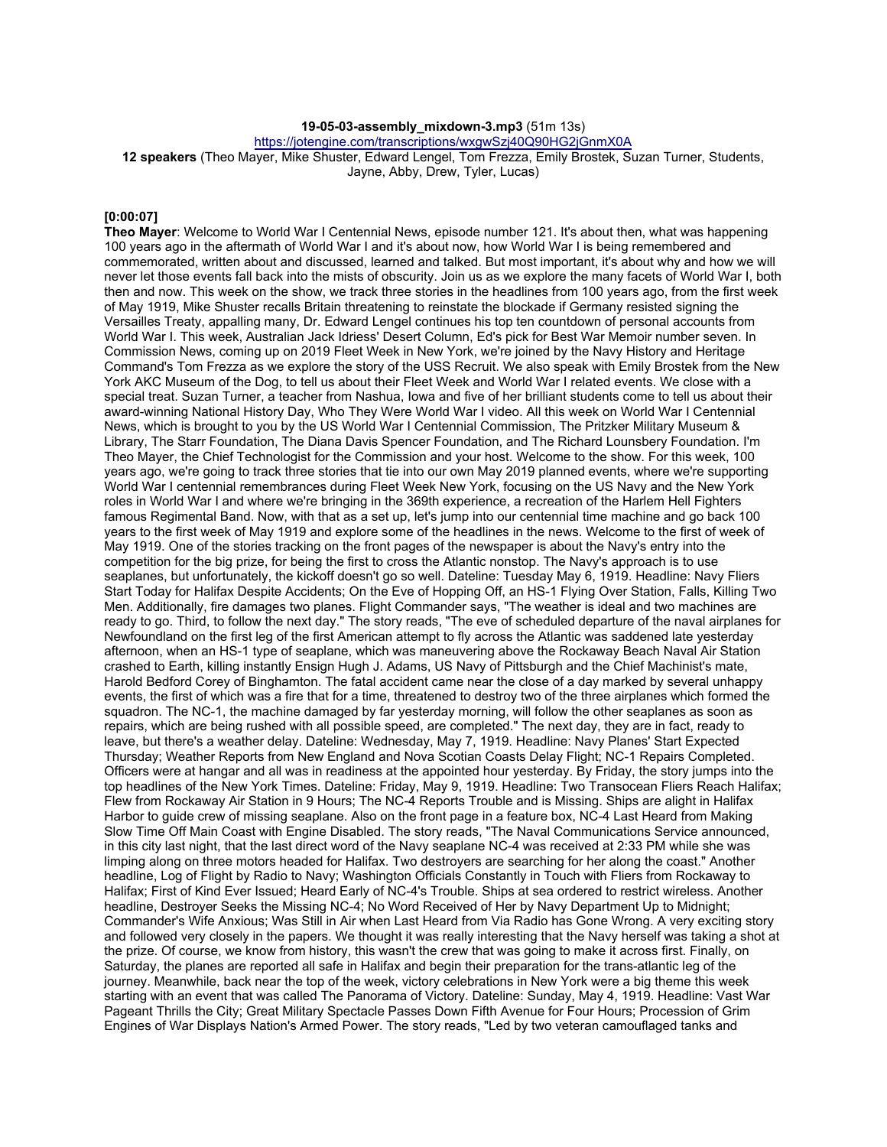### **19-05-03-assembly\_mixdown-3.mp3** (51m 13s)

https://jotengine.com/transcriptions/wxgwSzj40Q90HG2jGnmX0A

**12 speakers** (Theo Mayer, Mike Shuster, Edward Lengel, Tom Frezza, Emily Brostek, Suzan Turner, Students, Jayne, Abby, Drew, Tyler, Lucas)

### **[0:00:07]**

**Theo Mayer**: Welcome to World War I Centennial News, episode number 121. It's about then, what was happening 100 years ago in the aftermath of World War I and it's about now, how World War I is being remembered and commemorated, written about and discussed, learned and talked. But most important, it's about why and how we will never let those events fall back into the mists of obscurity. Join us as we explore the many facets of World War I, both then and now. This week on the show, we track three stories in the headlines from 100 years ago, from the first week of May 1919, Mike Shuster recalls Britain threatening to reinstate the blockade if Germany resisted signing the Versailles Treaty, appalling many, Dr. Edward Lengel continues his top ten countdown of personal accounts from World War I. This week, Australian Jack Idriess' Desert Column, Ed's pick for Best War Memoir number seven. In Commission News, coming up on 2019 Fleet Week in New York, we're joined by the Navy History and Heritage Command's Tom Frezza as we explore the story of the USS Recruit. We also speak with Emily Brostek from the New York AKC Museum of the Dog, to tell us about their Fleet Week and World War I related events. We close with a special treat. Suzan Turner, a teacher from Nashua, Iowa and five of her brilliant students come to tell us about their award-winning National History Day, Who They Were World War I video. All this week on World War I Centennial News, which is brought to you by the US World War I Centennial Commission, The Pritzker Military Museum & Library, The Starr Foundation, The Diana Davis Spencer Foundation, and The Richard Lounsbery Foundation. I'm Theo Mayer, the Chief Technologist for the Commission and your host. Welcome to the show. For this week, 100 years ago, we're going to track three stories that tie into our own May 2019 planned events, where we're supporting World War I centennial remembrances during Fleet Week New York, focusing on the US Navy and the New York roles in World War I and where we're bringing in the 369th experience, a recreation of the Harlem Hell Fighters famous Regimental Band. Now, with that as a set up, let's jump into our centennial time machine and go back 100 years to the first week of May 1919 and explore some of the headlines in the news. Welcome to the first of week of May 1919. One of the stories tracking on the front pages of the newspaper is about the Navy's entry into the competition for the big prize, for being the first to cross the Atlantic nonstop. The Navy's approach is to use seaplanes, but unfortunately, the kickoff doesn't go so well. Dateline: Tuesday May 6, 1919. Headline: Navy Fliers Start Today for Halifax Despite Accidents; On the Eve of Hopping Off, an HS-1 Flying Over Station, Falls, Killing Two Men. Additionally, fire damages two planes. Flight Commander says, "The weather is ideal and two machines are ready to go. Third, to follow the next day." The story reads, "The eve of scheduled departure of the naval airplanes for Newfoundland on the first leg of the first American attempt to fly across the Atlantic was saddened late yesterday afternoon, when an HS-1 type of seaplane, which was maneuvering above the Rockaway Beach Naval Air Station crashed to Earth, killing instantly Ensign Hugh J. Adams, US Navy of Pittsburgh and the Chief Machinist's mate, Harold Bedford Corey of Binghamton. The fatal accident came near the close of a day marked by several unhappy events, the first of which was a fire that for a time, threatened to destroy two of the three airplanes which formed the squadron. The NC-1, the machine damaged by far yesterday morning, will follow the other seaplanes as soon as repairs, which are being rushed with all possible speed, are completed." The next day, they are in fact, ready to leave, but there's a weather delay. Dateline: Wednesday, May 7, 1919. Headline: Navy Planes' Start Expected Thursday; Weather Reports from New England and Nova Scotian Coasts Delay Flight; NC-1 Repairs Completed. Officers were at hangar and all was in readiness at the appointed hour yesterday. By Friday, the story jumps into the top headlines of the New York Times. Dateline: Friday, May 9, 1919. Headline: Two Transocean Fliers Reach Halifax; Flew from Rockaway Air Station in 9 Hours; The NC-4 Reports Trouble and is Missing. Ships are alight in Halifax Harbor to guide crew of missing seaplane. Also on the front page in a feature box, NC-4 Last Heard from Making Slow Time Off Main Coast with Engine Disabled. The story reads, "The Naval Communications Service announced, in this city last night, that the last direct word of the Navy seaplane NC-4 was received at 2:33 PM while she was limping along on three motors headed for Halifax. Two destroyers are searching for her along the coast." Another headline, Log of Flight by Radio to Navy; Washington Officials Constantly in Touch with Fliers from Rockaway to Halifax; First of Kind Ever Issued; Heard Early of NC-4's Trouble. Ships at sea ordered to restrict wireless. Another headline, Destroyer Seeks the Missing NC-4; No Word Received of Her by Navy Department Up to Midnight; Commander's Wife Anxious; Was Still in Air when Last Heard from Via Radio has Gone Wrong. A very exciting story and followed very closely in the papers. We thought it was really interesting that the Navy herself was taking a shot at the prize. Of course, we know from history, this wasn't the crew that was going to make it across first. Finally, on Saturday, the planes are reported all safe in Halifax and begin their preparation for the trans-atlantic leg of the journey. Meanwhile, back near the top of the week, victory celebrations in New York were a big theme this week starting with an event that was called The Panorama of Victory. Dateline: Sunday, May 4, 1919. Headline: Vast War Pageant Thrills the City; Great Military Spectacle Passes Down Fifth Avenue for Four Hours; Procession of Grim Engines of War Displays Nation's Armed Power. The story reads, "Led by two veteran camouflaged tanks and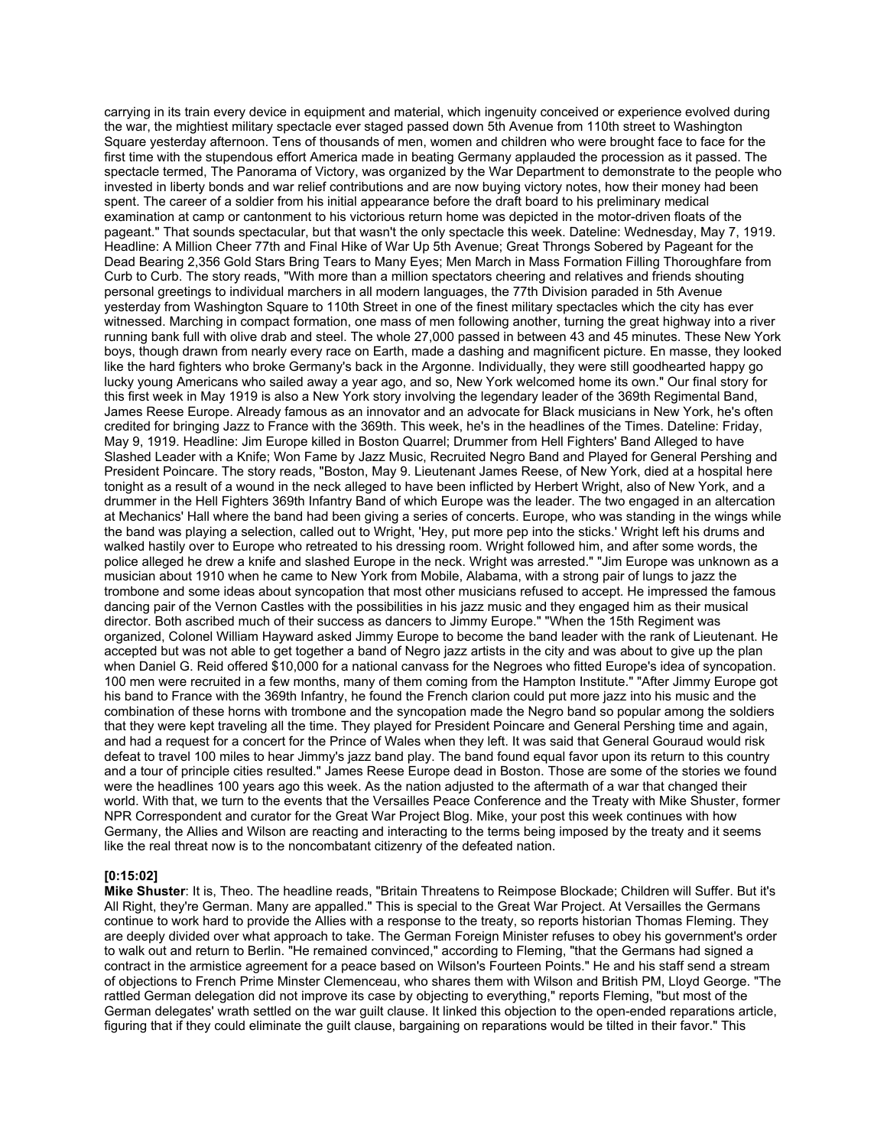carrying in its train every device in equipment and material, which ingenuity conceived or experience evolved during the war, the mightiest military spectacle ever staged passed down 5th Avenue from 110th street to Washington Square yesterday afternoon. Tens of thousands of men, women and children who were brought face to face for the first time with the stupendous effort America made in beating Germany applauded the procession as it passed. The spectacle termed, The Panorama of Victory, was organized by the War Department to demonstrate to the people who invested in liberty bonds and war relief contributions and are now buying victory notes, how their money had been spent. The career of a soldier from his initial appearance before the draft board to his preliminary medical examination at camp or cantonment to his victorious return home was depicted in the motor-driven floats of the pageant." That sounds spectacular, but that wasn't the only spectacle this week. Dateline: Wednesday, May 7, 1919. Headline: A Million Cheer 77th and Final Hike of War Up 5th Avenue; Great Throngs Sobered by Pageant for the Dead Bearing 2,356 Gold Stars Bring Tears to Many Eyes; Men March in Mass Formation Filling Thoroughfare from Curb to Curb. The story reads, "With more than a million spectators cheering and relatives and friends shouting personal greetings to individual marchers in all modern languages, the 77th Division paraded in 5th Avenue yesterday from Washington Square to 110th Street in one of the finest military spectacles which the city has ever witnessed. Marching in compact formation, one mass of men following another, turning the great highway into a river running bank full with olive drab and steel. The whole 27,000 passed in between 43 and 45 minutes. These New York boys, though drawn from nearly every race on Earth, made a dashing and magnificent picture. En masse, they looked like the hard fighters who broke Germany's back in the Argonne. Individually, they were still goodhearted happy go lucky young Americans who sailed away a year ago, and so, New York welcomed home its own." Our final story for this first week in May 1919 is also a New York story involving the legendary leader of the 369th Regimental Band, James Reese Europe. Already famous as an innovator and an advocate for Black musicians in New York, he's often credited for bringing Jazz to France with the 369th. This week, he's in the headlines of the Times. Dateline: Friday, May 9, 1919. Headline: Jim Europe killed in Boston Quarrel; Drummer from Hell Fighters' Band Alleged to have Slashed Leader with a Knife; Won Fame by Jazz Music, Recruited Negro Band and Played for General Pershing and President Poincare. The story reads, "Boston, May 9. Lieutenant James Reese, of New York, died at a hospital here tonight as a result of a wound in the neck alleged to have been inflicted by Herbert Wright, also of New York, and a drummer in the Hell Fighters 369th Infantry Band of which Europe was the leader. The two engaged in an altercation at Mechanics' Hall where the band had been giving a series of concerts. Europe, who was standing in the wings while the band was playing a selection, called out to Wright, 'Hey, put more pep into the sticks.' Wright left his drums and walked hastily over to Europe who retreated to his dressing room. Wright followed him, and after some words, the police alleged he drew a knife and slashed Europe in the neck. Wright was arrested." "Jim Europe was unknown as a musician about 1910 when he came to New York from Mobile, Alabama, with a strong pair of lungs to jazz the trombone and some ideas about syncopation that most other musicians refused to accept. He impressed the famous dancing pair of the Vernon Castles with the possibilities in his jazz music and they engaged him as their musical director. Both ascribed much of their success as dancers to Jimmy Europe." "When the 15th Regiment was organized, Colonel William Hayward asked Jimmy Europe to become the band leader with the rank of Lieutenant. He accepted but was not able to get together a band of Negro jazz artists in the city and was about to give up the plan when Daniel G. Reid offered \$10,000 for a national canvass for the Negroes who fitted Europe's idea of syncopation. 100 men were recruited in a few months, many of them coming from the Hampton Institute." "After Jimmy Europe got his band to France with the 369th Infantry, he found the French clarion could put more jazz into his music and the combination of these horns with trombone and the syncopation made the Negro band so popular among the soldiers that they were kept traveling all the time. They played for President Poincare and General Pershing time and again, and had a request for a concert for the Prince of Wales when they left. It was said that General Gouraud would risk defeat to travel 100 miles to hear Jimmy's jazz band play. The band found equal favor upon its return to this country and a tour of principle cities resulted." James Reese Europe dead in Boston. Those are some of the stories we found were the headlines 100 years ago this week. As the nation adjusted to the aftermath of a war that changed their world. With that, we turn to the events that the Versailles Peace Conference and the Treaty with Mike Shuster, former NPR Correspondent and curator for the Great War Project Blog. Mike, your post this week continues with how Germany, the Allies and Wilson are reacting and interacting to the terms being imposed by the treaty and it seems like the real threat now is to the noncombatant citizenry of the defeated nation.

#### **[0:15:02]**

**Mike Shuster**: It is, Theo. The headline reads, "Britain Threatens to Reimpose Blockade; Children will Suffer. But it's All Right, they're German. Many are appalled." This is special to the Great War Project. At Versailles the Germans continue to work hard to provide the Allies with a response to the treaty, so reports historian Thomas Fleming. They are deeply divided over what approach to take. The German Foreign Minister refuses to obey his government's order to walk out and return to Berlin. "He remained convinced," according to Fleming, "that the Germans had signed a contract in the armistice agreement for a peace based on Wilson's Fourteen Points." He and his staff send a stream of objections to French Prime Minster Clemenceau, who shares them with Wilson and British PM, Lloyd George. "The rattled German delegation did not improve its case by objecting to everything," reports Fleming, "but most of the German delegates' wrath settled on the war guilt clause. It linked this objection to the open-ended reparations article, figuring that if they could eliminate the guilt clause, bargaining on reparations would be tilted in their favor." This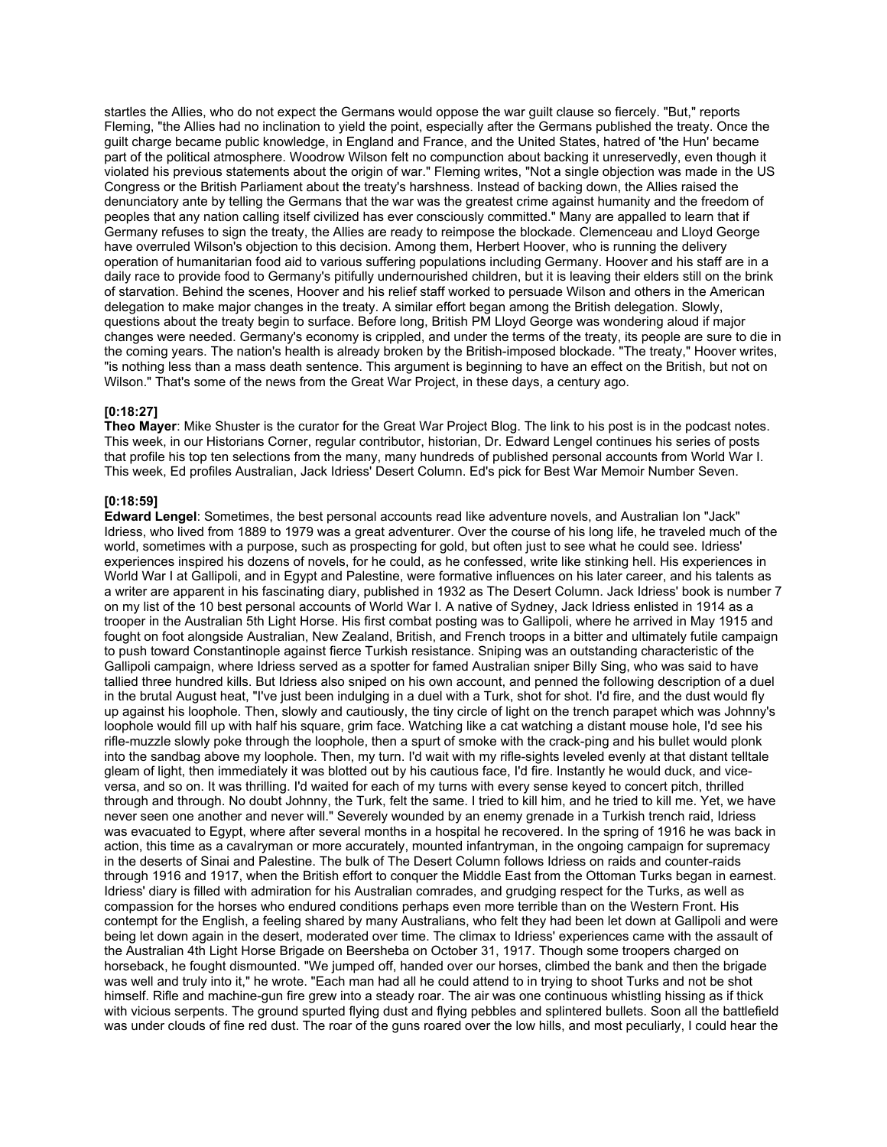startles the Allies, who do not expect the Germans would oppose the war guilt clause so fiercely. "But," reports Fleming, "the Allies had no inclination to yield the point, especially after the Germans published the treaty. Once the guilt charge became public knowledge, in England and France, and the United States, hatred of 'the Hun' became part of the political atmosphere. Woodrow Wilson felt no compunction about backing it unreservedly, even though it violated his previous statements about the origin of war." Fleming writes, "Not a single objection was made in the US Congress or the British Parliament about the treaty's harshness. Instead of backing down, the Allies raised the denunciatory ante by telling the Germans that the war was the greatest crime against humanity and the freedom of peoples that any nation calling itself civilized has ever consciously committed." Many are appalled to learn that if Germany refuses to sign the treaty, the Allies are ready to reimpose the blockade. Clemenceau and Lloyd George have overruled Wilson's objection to this decision. Among them, Herbert Hoover, who is running the delivery operation of humanitarian food aid to various suffering populations including Germany. Hoover and his staff are in a daily race to provide food to Germany's pitifully undernourished children, but it is leaving their elders still on the brink of starvation. Behind the scenes, Hoover and his relief staff worked to persuade Wilson and others in the American delegation to make major changes in the treaty. A similar effort began among the British delegation. Slowly, questions about the treaty begin to surface. Before long, British PM Lloyd George was wondering aloud if major changes were needed. Germany's economy is crippled, and under the terms of the treaty, its people are sure to die in the coming years. The nation's health is already broken by the British-imposed blockade. "The treaty," Hoover writes, "is nothing less than a mass death sentence. This argument is beginning to have an effect on the British, but not on Wilson." That's some of the news from the Great War Project, in these days, a century ago.

### **[0:18:27]**

**Theo Mayer**: Mike Shuster is the curator for the Great War Project Blog. The link to his post is in the podcast notes. This week, in our Historians Corner, regular contributor, historian, Dr. Edward Lengel continues his series of posts that profile his top ten selections from the many, many hundreds of published personal accounts from World War I. This week, Ed profiles Australian, Jack Idriess' Desert Column. Ed's pick for Best War Memoir Number Seven.

### **[0:18:59]**

**Edward Lengel**: Sometimes, the best personal accounts read like adventure novels, and Australian Ion "Jack" Idriess, who lived from 1889 to 1979 was a great adventurer. Over the course of his long life, he traveled much of the world, sometimes with a purpose, such as prospecting for gold, but often just to see what he could see. Idriess' experiences inspired his dozens of novels, for he could, as he confessed, write like stinking hell. His experiences in World War I at Gallipoli, and in Egypt and Palestine, were formative influences on his later career, and his talents as a writer are apparent in his fascinating diary, published in 1932 as The Desert Column. Jack Idriess' book is number 7 on my list of the 10 best personal accounts of World War I. A native of Sydney, Jack Idriess enlisted in 1914 as a trooper in the Australian 5th Light Horse. His first combat posting was to Gallipoli, where he arrived in May 1915 and fought on foot alongside Australian, New Zealand, British, and French troops in a bitter and ultimately futile campaign to push toward Constantinople against fierce Turkish resistance. Sniping was an outstanding characteristic of the Gallipoli campaign, where Idriess served as a spotter for famed Australian sniper Billy Sing, who was said to have tallied three hundred kills. But Idriess also sniped on his own account, and penned the following description of a duel in the brutal August heat, "I've just been indulging in a duel with a Turk, shot for shot. I'd fire, and the dust would fly up against his loophole. Then, slowly and cautiously, the tiny circle of light on the trench parapet which was Johnny's loophole would fill up with half his square, grim face. Watching like a cat watching a distant mouse hole, I'd see his rifle-muzzle slowly poke through the loophole, then a spurt of smoke with the crack-ping and his bullet would plonk into the sandbag above my loophole. Then, my turn. I'd wait with my rifle-sights leveled evenly at that distant telltale gleam of light, then immediately it was blotted out by his cautious face, I'd fire. Instantly he would duck, and viceversa, and so on. It was thrilling. I'd waited for each of my turns with every sense keyed to concert pitch, thrilled through and through. No doubt Johnny, the Turk, felt the same. I tried to kill him, and he tried to kill me. Yet, we have never seen one another and never will." Severely wounded by an enemy grenade in a Turkish trench raid, Idriess was evacuated to Egypt, where after several months in a hospital he recovered. In the spring of 1916 he was back in action, this time as a cavalryman or more accurately, mounted infantryman, in the ongoing campaign for supremacy in the deserts of Sinai and Palestine. The bulk of The Desert Column follows Idriess on raids and counter-raids through 1916 and 1917, when the British effort to conquer the Middle East from the Ottoman Turks began in earnest. Idriess' diary is filled with admiration for his Australian comrades, and grudging respect for the Turks, as well as compassion for the horses who endured conditions perhaps even more terrible than on the Western Front. His contempt for the English, a feeling shared by many Australians, who felt they had been let down at Gallipoli and were being let down again in the desert, moderated over time. The climax to Idriess' experiences came with the assault of the Australian 4th Light Horse Brigade on Beersheba on October 31, 1917. Though some troopers charged on horseback, he fought dismounted. "We jumped off, handed over our horses, climbed the bank and then the brigade was well and truly into it," he wrote. "Each man had all he could attend to in trying to shoot Turks and not be shot himself. Rifle and machine-gun fire grew into a steady roar. The air was one continuous whistling hissing as if thick with vicious serpents. The ground spurted flying dust and flying pebbles and splintered bullets. Soon all the battlefield was under clouds of fine red dust. The roar of the guns roared over the low hills, and most peculiarly, I could hear the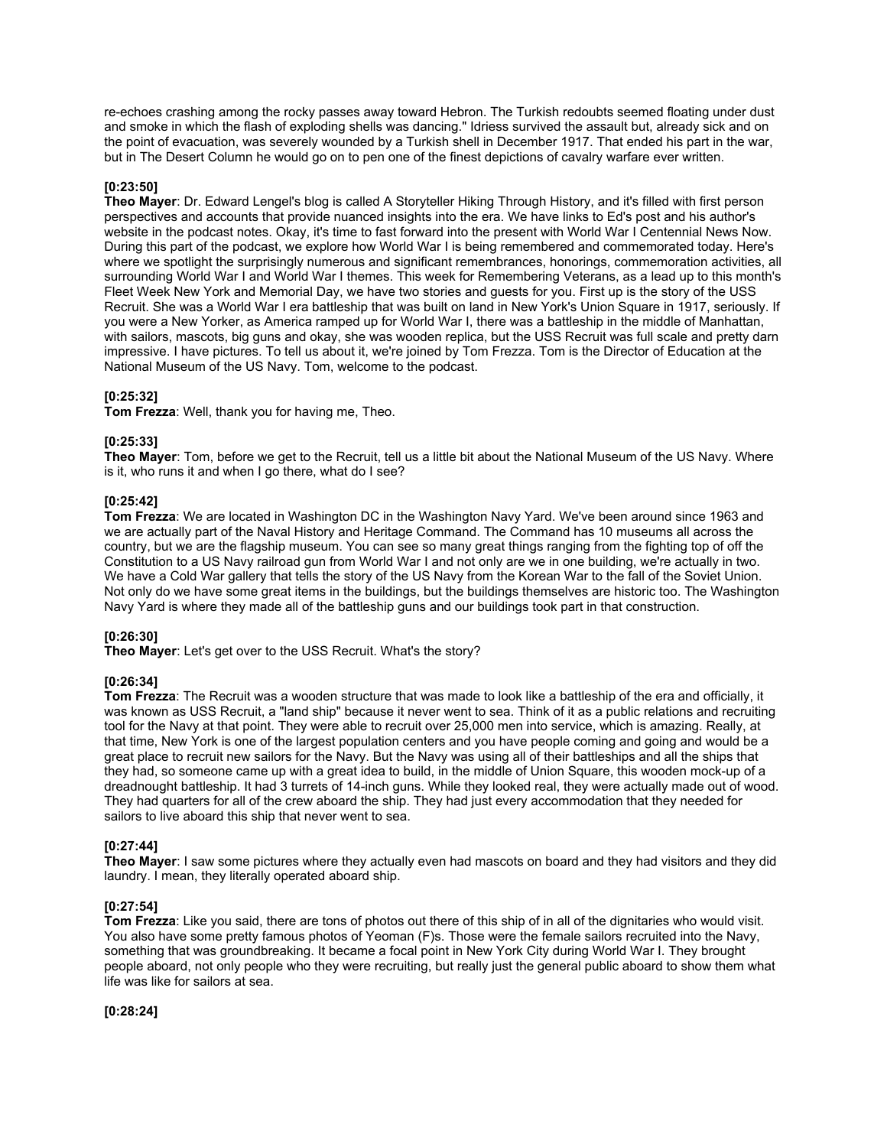re-echoes crashing among the rocky passes away toward Hebron. The Turkish redoubts seemed floating under dust and smoke in which the flash of exploding shells was dancing." Idriess survived the assault but, already sick and on the point of evacuation, was severely wounded by a Turkish shell in December 1917. That ended his part in the war, but in The Desert Column he would go on to pen one of the finest depictions of cavalry warfare ever written.

### **[0:23:50]**

**Theo Mayer**: Dr. Edward Lengel's blog is called A Storyteller Hiking Through History, and it's filled with first person perspectives and accounts that provide nuanced insights into the era. We have links to Ed's post and his author's website in the podcast notes. Okay, it's time to fast forward into the present with World War I Centennial News Now. During this part of the podcast, we explore how World War I is being remembered and commemorated today. Here's where we spotlight the surprisingly numerous and significant remembrances, honorings, commemoration activities, all surrounding World War I and World War I themes. This week for Remembering Veterans, as a lead up to this month's Fleet Week New York and Memorial Day, we have two stories and guests for you. First up is the story of the USS Recruit. She was a World War I era battleship that was built on land in New York's Union Square in 1917, seriously. If you were a New Yorker, as America ramped up for World War I, there was a battleship in the middle of Manhattan, with sailors, mascots, big guns and okay, she was wooden replica, but the USS Recruit was full scale and pretty darn impressive. I have pictures. To tell us about it, we're joined by Tom Frezza. Tom is the Director of Education at the National Museum of the US Navy. Tom, welcome to the podcast.

### **[0:25:32]**

**Tom Frezza**: Well, thank you for having me, Theo.

# **[0:25:33]**

**Theo Mayer**: Tom, before we get to the Recruit, tell us a little bit about the National Museum of the US Navy. Where is it, who runs it and when I go there, what do I see?

### **[0:25:42]**

**Tom Frezza**: We are located in Washington DC in the Washington Navy Yard. We've been around since 1963 and we are actually part of the Naval History and Heritage Command. The Command has 10 museums all across the country, but we are the flagship museum. You can see so many great things ranging from the fighting top of off the Constitution to a US Navy railroad gun from World War I and not only are we in one building, we're actually in two. We have a Cold War gallery that tells the story of the US Navy from the Korean War to the fall of the Soviet Union. Not only do we have some great items in the buildings, but the buildings themselves are historic too. The Washington Navy Yard is where they made all of the battleship guns and our buildings took part in that construction.

### **[0:26:30]**

**Theo Mayer**: Let's get over to the USS Recruit. What's the story?

# **[0:26:34]**

**Tom Frezza**: The Recruit was a wooden structure that was made to look like a battleship of the era and officially, it was known as USS Recruit, a "land ship" because it never went to sea. Think of it as a public relations and recruiting tool for the Navy at that point. They were able to recruit over 25,000 men into service, which is amazing. Really, at that time, New York is one of the largest population centers and you have people coming and going and would be a great place to recruit new sailors for the Navy. But the Navy was using all of their battleships and all the ships that they had, so someone came up with a great idea to build, in the middle of Union Square, this wooden mock-up of a dreadnought battleship. It had 3 turrets of 14-inch guns. While they looked real, they were actually made out of wood. They had quarters for all of the crew aboard the ship. They had just every accommodation that they needed for sailors to live aboard this ship that never went to sea.

### **[0:27:44]**

**Theo Mayer**: I saw some pictures where they actually even had mascots on board and they had visitors and they did laundry. I mean, they literally operated aboard ship.

### **[0:27:54]**

**Tom Frezza**: Like you said, there are tons of photos out there of this ship of in all of the dignitaries who would visit. You also have some pretty famous photos of Yeoman (F)s. Those were the female sailors recruited into the Navy, something that was groundbreaking. It became a focal point in New York City during World War I. They brought people aboard, not only people who they were recruiting, but really just the general public aboard to show them what life was like for sailors at sea.

**[0:28:24]**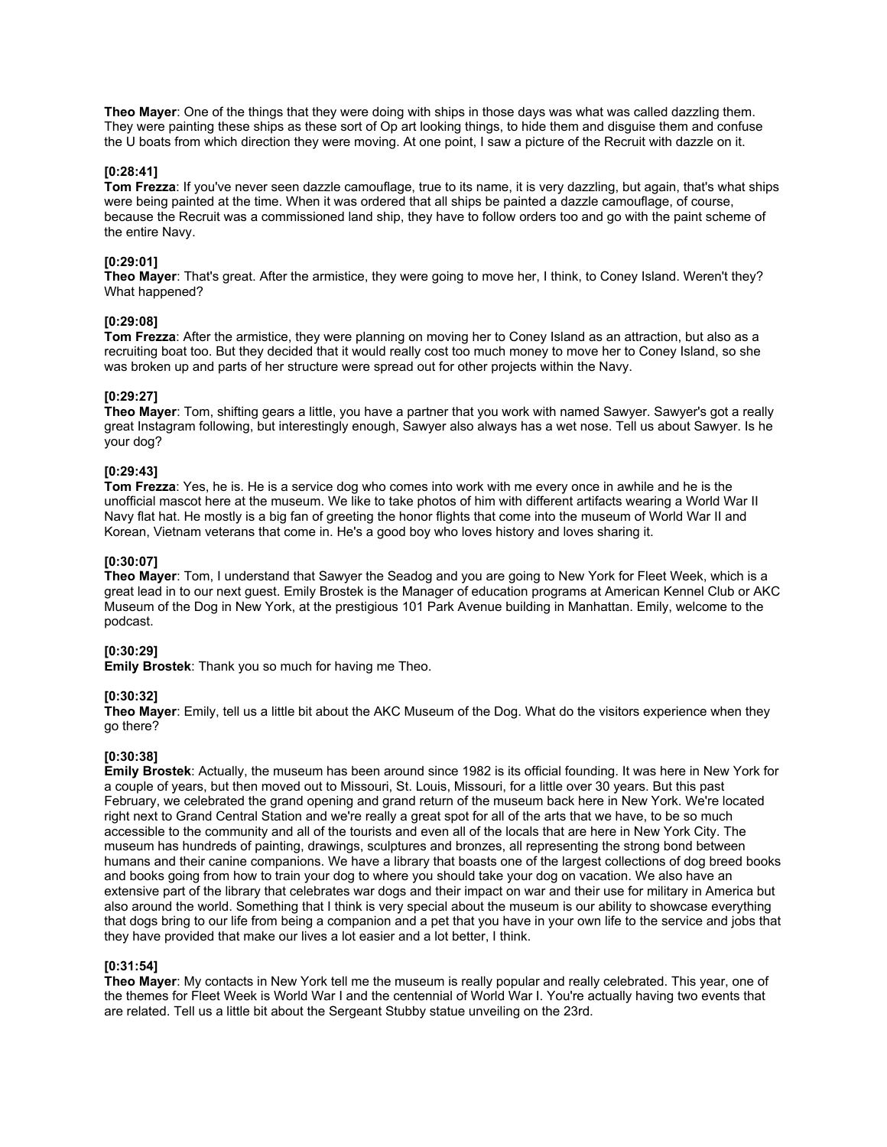**Theo Mayer**: One of the things that they were doing with ships in those days was what was called dazzling them. They were painting these ships as these sort of Op art looking things, to hide them and disguise them and confuse the U boats from which direction they were moving. At one point, I saw a picture of the Recruit with dazzle on it.

### **[0:28:41]**

**Tom Frezza**: If you've never seen dazzle camouflage, true to its name, it is very dazzling, but again, that's what ships were being painted at the time. When it was ordered that all ships be painted a dazzle camouflage, of course, because the Recruit was a commissioned land ship, they have to follow orders too and go with the paint scheme of the entire Navy.

# **[0:29:01]**

**Theo Mayer**: That's great. After the armistice, they were going to move her, I think, to Coney Island. Weren't they? What happened?

### **[0:29:08]**

**Tom Frezza**: After the armistice, they were planning on moving her to Coney Island as an attraction, but also as a recruiting boat too. But they decided that it would really cost too much money to move her to Coney Island, so she was broken up and parts of her structure were spread out for other projects within the Navy.

### **[0:29:27]**

**Theo Mayer**: Tom, shifting gears a little, you have a partner that you work with named Sawyer. Sawyer's got a really great Instagram following, but interestingly enough, Sawyer also always has a wet nose. Tell us about Sawyer. Is he your dog?

### **[0:29:43]**

**Tom Frezza**: Yes, he is. He is a service dog who comes into work with me every once in awhile and he is the unofficial mascot here at the museum. We like to take photos of him with different artifacts wearing a World War II Navy flat hat. He mostly is a big fan of greeting the honor flights that come into the museum of World War II and Korean, Vietnam veterans that come in. He's a good boy who loves history and loves sharing it.

### **[0:30:07]**

**Theo Mayer**: Tom, I understand that Sawyer the Seadog and you are going to New York for Fleet Week, which is a great lead in to our next guest. Emily Brostek is the Manager of education programs at American Kennel Club or AKC Museum of the Dog in New York, at the prestigious 101 Park Avenue building in Manhattan. Emily, welcome to the podcast.

### **[0:30:29]**

**Emily Brostek**: Thank you so much for having me Theo.

# **[0:30:32]**

**Theo Mayer**: Emily, tell us a little bit about the AKC Museum of the Dog. What do the visitors experience when they go there?

# **[0:30:38]**

**Emily Brostek**: Actually, the museum has been around since 1982 is its official founding. It was here in New York for a couple of years, but then moved out to Missouri, St. Louis, Missouri, for a little over 30 years. But this past February, we celebrated the grand opening and grand return of the museum back here in New York. We're located right next to Grand Central Station and we're really a great spot for all of the arts that we have, to be so much accessible to the community and all of the tourists and even all of the locals that are here in New York City. The museum has hundreds of painting, drawings, sculptures and bronzes, all representing the strong bond between humans and their canine companions. We have a library that boasts one of the largest collections of dog breed books and books going from how to train your dog to where you should take your dog on vacation. We also have an extensive part of the library that celebrates war dogs and their impact on war and their use for military in America but also around the world. Something that I think is very special about the museum is our ability to showcase everything that dogs bring to our life from being a companion and a pet that you have in your own life to the service and jobs that they have provided that make our lives a lot easier and a lot better, I think.

### **[0:31:54]**

**Theo Mayer**: My contacts in New York tell me the museum is really popular and really celebrated. This year, one of the themes for Fleet Week is World War I and the centennial of World War I. You're actually having two events that are related. Tell us a little bit about the Sergeant Stubby statue unveiling on the 23rd.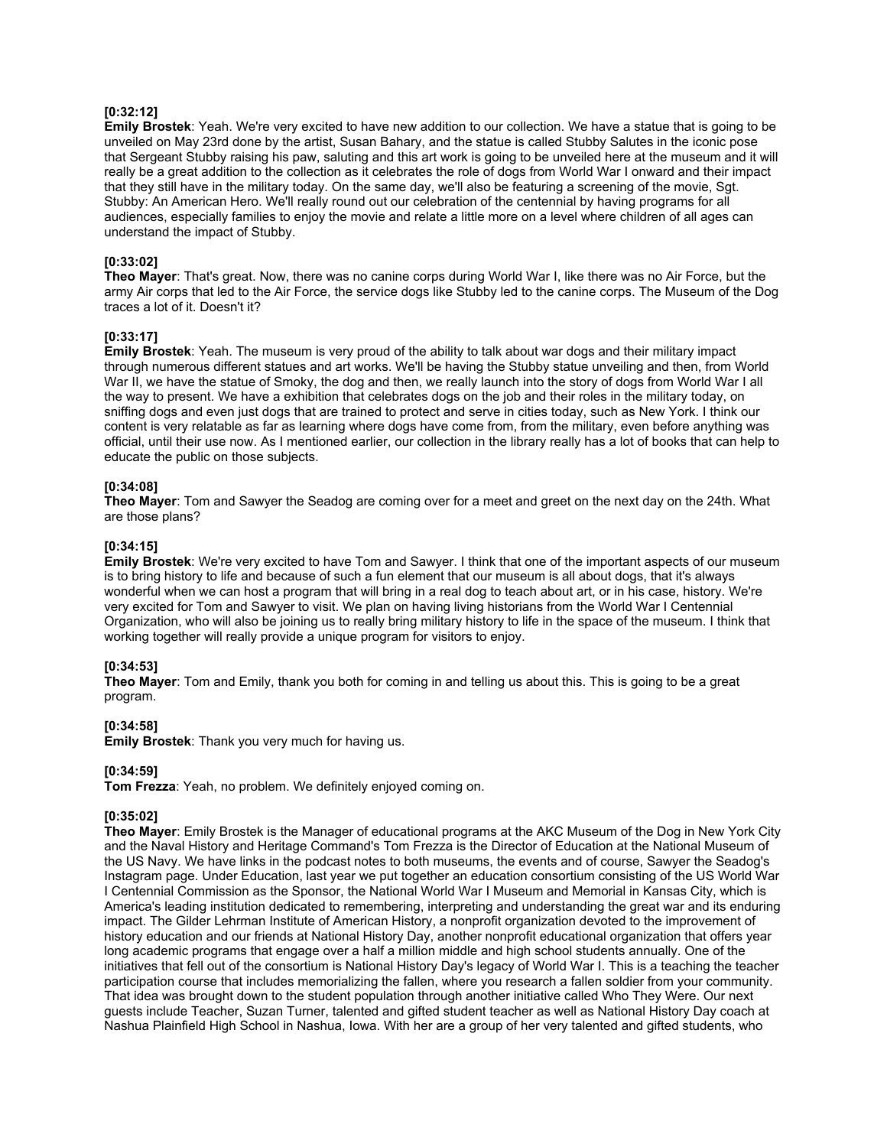### **[0:32:12]**

**Emily Brostek**: Yeah. We're very excited to have new addition to our collection. We have a statue that is going to be unveiled on May 23rd done by the artist, Susan Bahary, and the statue is called Stubby Salutes in the iconic pose that Sergeant Stubby raising his paw, saluting and this art work is going to be unveiled here at the museum and it will really be a great addition to the collection as it celebrates the role of dogs from World War I onward and their impact that they still have in the military today. On the same day, we'll also be featuring a screening of the movie, Sgt. Stubby: An American Hero. We'll really round out our celebration of the centennial by having programs for all audiences, especially families to enjoy the movie and relate a little more on a level where children of all ages can understand the impact of Stubby.

### **[0:33:02]**

**Theo Mayer**: That's great. Now, there was no canine corps during World War I, like there was no Air Force, but the army Air corps that led to the Air Force, the service dogs like Stubby led to the canine corps. The Museum of the Dog traces a lot of it. Doesn't it?

#### **[0:33:17]**

**Emily Brostek**: Yeah. The museum is very proud of the ability to talk about war dogs and their military impact through numerous different statues and art works. We'll be having the Stubby statue unveiling and then, from World War II, we have the statue of Smoky, the dog and then, we really launch into the story of dogs from World War I all the way to present. We have a exhibition that celebrates dogs on the job and their roles in the military today, on sniffing dogs and even just dogs that are trained to protect and serve in cities today, such as New York. I think our content is very relatable as far as learning where dogs have come from, from the military, even before anything was official, until their use now. As I mentioned earlier, our collection in the library really has a lot of books that can help to educate the public on those subjects.

#### **[0:34:08]**

**Theo Mayer**: Tom and Sawyer the Seadog are coming over for a meet and greet on the next day on the 24th. What are those plans?

#### **[0:34:15]**

**Emily Brostek**: We're very excited to have Tom and Sawyer. I think that one of the important aspects of our museum is to bring history to life and because of such a fun element that our museum is all about dogs, that it's always wonderful when we can host a program that will bring in a real dog to teach about art, or in his case, history. We're very excited for Tom and Sawyer to visit. We plan on having living historians from the World War I Centennial Organization, who will also be joining us to really bring military history to life in the space of the museum. I think that working together will really provide a unique program for visitors to enjoy.

#### **[0:34:53]**

**Theo Mayer**: Tom and Emily, thank you both for coming in and telling us about this. This is going to be a great program.

#### **[0:34:58]**

**Emily Brostek**: Thank you very much for having us.

### **[0:34:59]**

**Tom Frezza**: Yeah, no problem. We definitely enjoyed coming on.

### **[0:35:02]**

**Theo Mayer**: Emily Brostek is the Manager of educational programs at the AKC Museum of the Dog in New York City and the Naval History and Heritage Command's Tom Frezza is the Director of Education at the National Museum of the US Navy. We have links in the podcast notes to both museums, the events and of course, Sawyer the Seadog's Instagram page. Under Education, last year we put together an education consortium consisting of the US World War I Centennial Commission as the Sponsor, the National World War I Museum and Memorial in Kansas City, which is America's leading institution dedicated to remembering, interpreting and understanding the great war and its enduring impact. The Gilder Lehrman Institute of American History, a nonprofit organization devoted to the improvement of history education and our friends at National History Day, another nonprofit educational organization that offers year long academic programs that engage over a half a million middle and high school students annually. One of the initiatives that fell out of the consortium is National History Day's legacy of World War I. This is a teaching the teacher participation course that includes memorializing the fallen, where you research a fallen soldier from your community. That idea was brought down to the student population through another initiative called Who They Were. Our next guests include Teacher, Suzan Turner, talented and gifted student teacher as well as National History Day coach at Nashua Plainfield High School in Nashua, Iowa. With her are a group of her very talented and gifted students, who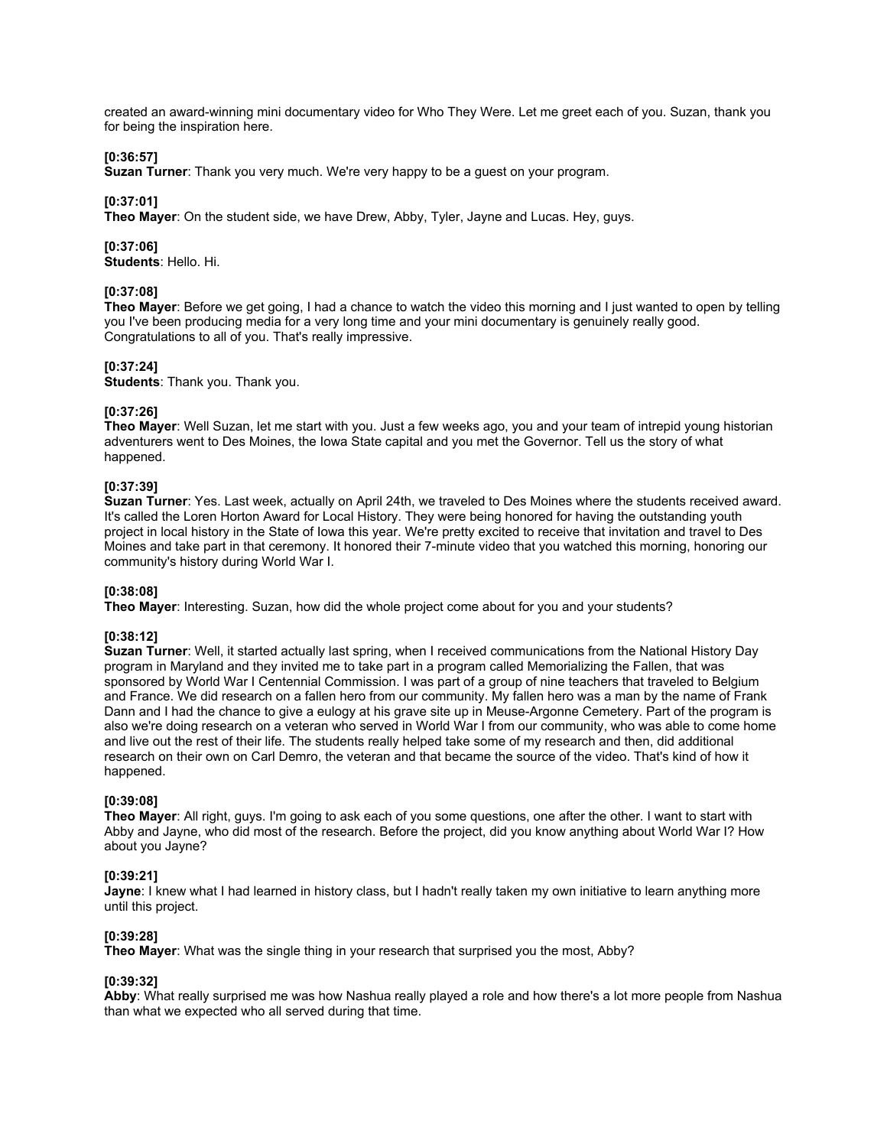created an award-winning mini documentary video for Who They Were. Let me greet each of you. Suzan, thank you for being the inspiration here.

### **[0:36:57]**

**Suzan Turner**: Thank you very much. We're very happy to be a guest on your program.

### **[0:37:01]**

**Theo Mayer**: On the student side, we have Drew, Abby, Tyler, Jayne and Lucas. Hey, guys.

### **[0:37:06]**

**Students**: Hello. Hi.

## **[0:37:08]**

**Theo Mayer**: Before we get going, I had a chance to watch the video this morning and I just wanted to open by telling you I've been producing media for a very long time and your mini documentary is genuinely really good. Congratulations to all of you. That's really impressive.

### **[0:37:24]**

**Students**: Thank you. Thank you.

### **[0:37:26]**

**Theo Mayer**: Well Suzan, let me start with you. Just a few weeks ago, you and your team of intrepid young historian adventurers went to Des Moines, the Iowa State capital and you met the Governor. Tell us the story of what happened.

### **[0:37:39]**

**Suzan Turner**: Yes. Last week, actually on April 24th, we traveled to Des Moines where the students received award. It's called the Loren Horton Award for Local History. They were being honored for having the outstanding youth project in local history in the State of Iowa this year. We're pretty excited to receive that invitation and travel to Des Moines and take part in that ceremony. It honored their 7-minute video that you watched this morning, honoring our community's history during World War I.

### **[0:38:08]**

**Theo Mayer**: Interesting. Suzan, how did the whole project come about for you and your students?

### **[0:38:12]**

**Suzan Turner**: Well, it started actually last spring, when I received communications from the National History Day program in Maryland and they invited me to take part in a program called Memorializing the Fallen, that was sponsored by World War I Centennial Commission. I was part of a group of nine teachers that traveled to Belgium and France. We did research on a fallen hero from our community. My fallen hero was a man by the name of Frank Dann and I had the chance to give a eulogy at his grave site up in Meuse-Argonne Cemetery. Part of the program is also we're doing research on a veteran who served in World War I from our community, who was able to come home and live out the rest of their life. The students really helped take some of my research and then, did additional research on their own on Carl Demro, the veteran and that became the source of the video. That's kind of how it happened.

### **[0:39:08]**

**Theo Mayer**: All right, guys. I'm going to ask each of you some questions, one after the other. I want to start with Abby and Jayne, who did most of the research. Before the project, did you know anything about World War I? How about you Jayne?

### **[0:39:21]**

**Jayne**: I knew what I had learned in history class, but I hadn't really taken my own initiative to learn anything more until this project.

# **[0:39:28]**

**Theo Mayer**: What was the single thing in your research that surprised you the most, Abby?

### **[0:39:32]**

**Abby**: What really surprised me was how Nashua really played a role and how there's a lot more people from Nashua than what we expected who all served during that time.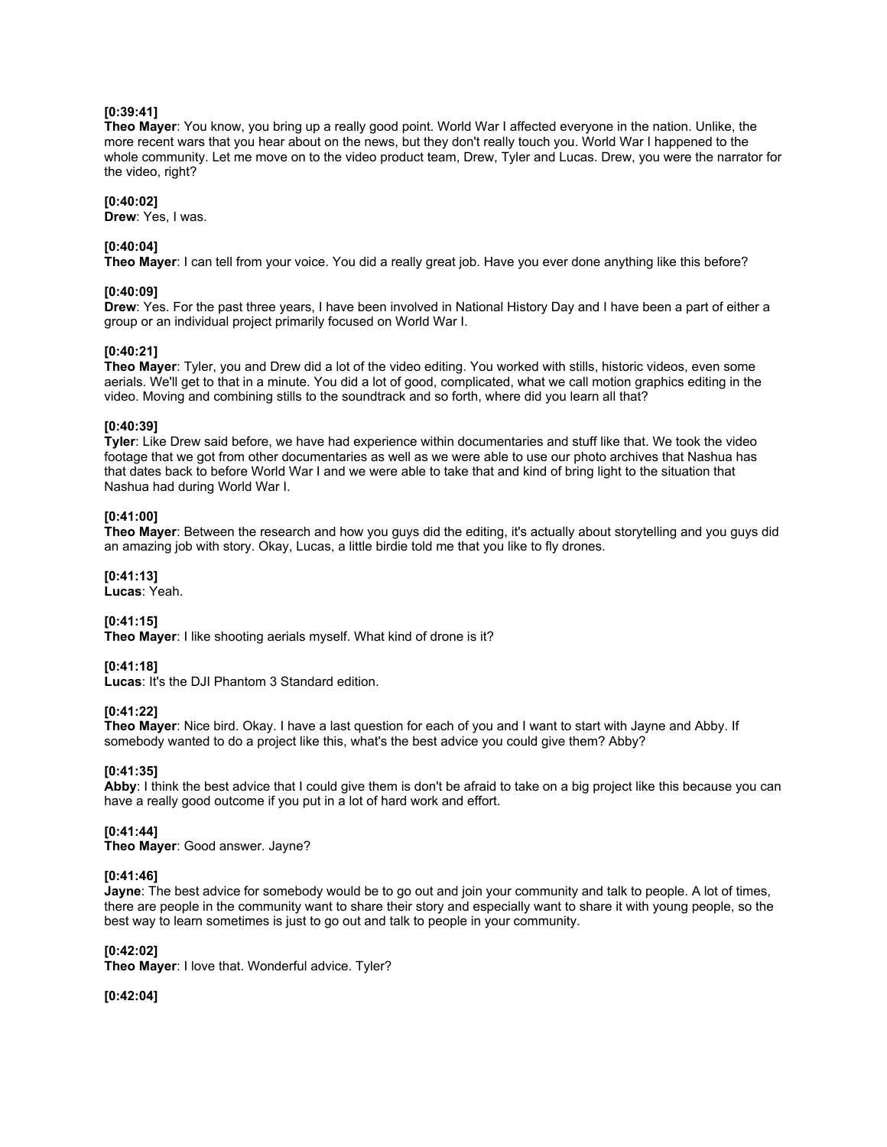# **[0:39:41]**

**Theo Mayer**: You know, you bring up a really good point. World War I affected everyone in the nation. Unlike, the more recent wars that you hear about on the news, but they don't really touch you. World War I happened to the whole community. Let me move on to the video product team, Drew, Tyler and Lucas. Drew, you were the narrator for the video, right?

#### **[0:40:02]**

**Drew**: Yes, I was.

### **[0:40:04]**

**Theo Mayer**: I can tell from your voice. You did a really great job. Have you ever done anything like this before?

### **[0:40:09]**

**Drew**: Yes. For the past three years, I have been involved in National History Day and I have been a part of either a group or an individual project primarily focused on World War I.

### **[0:40:21]**

**Theo Mayer**: Tyler, you and Drew did a lot of the video editing. You worked with stills, historic videos, even some aerials. We'll get to that in a minute. You did a lot of good, complicated, what we call motion graphics editing in the video. Moving and combining stills to the soundtrack and so forth, where did you learn all that?

### **[0:40:39]**

**Tyler**: Like Drew said before, we have had experience within documentaries and stuff like that. We took the video footage that we got from other documentaries as well as we were able to use our photo archives that Nashua has that dates back to before World War I and we were able to take that and kind of bring light to the situation that Nashua had during World War I.

### **[0:41:00]**

**Theo Mayer**: Between the research and how you guys did the editing, it's actually about storytelling and you guys did an amazing job with story. Okay, Lucas, a little birdie told me that you like to fly drones.

## **[0:41:13]**

**Lucas**: Yeah.

# **[0:41:15]**

**Theo Mayer**: I like shooting aerials myself. What kind of drone is it?

# **[0:41:18]**

**Lucas**: It's the DJI Phantom 3 Standard edition.

### **[0:41:22]**

**Theo Mayer**: Nice bird. Okay. I have a last question for each of you and I want to start with Jayne and Abby. If somebody wanted to do a project like this, what's the best advice you could give them? Abby?

### **[0:41:35]**

**Abby**: I think the best advice that I could give them is don't be afraid to take on a big project like this because you can have a really good outcome if you put in a lot of hard work and effort.

### **[0:41:44]**

**Theo Mayer**: Good answer. Jayne?

### **[0:41:46]**

**Jayne**: The best advice for somebody would be to go out and join your community and talk to people. A lot of times, there are people in the community want to share their story and especially want to share it with young people, so the best way to learn sometimes is just to go out and talk to people in your community.

### **[0:42:02]**

**Theo Mayer**: I love that. Wonderful advice. Tyler?

### **[0:42:04]**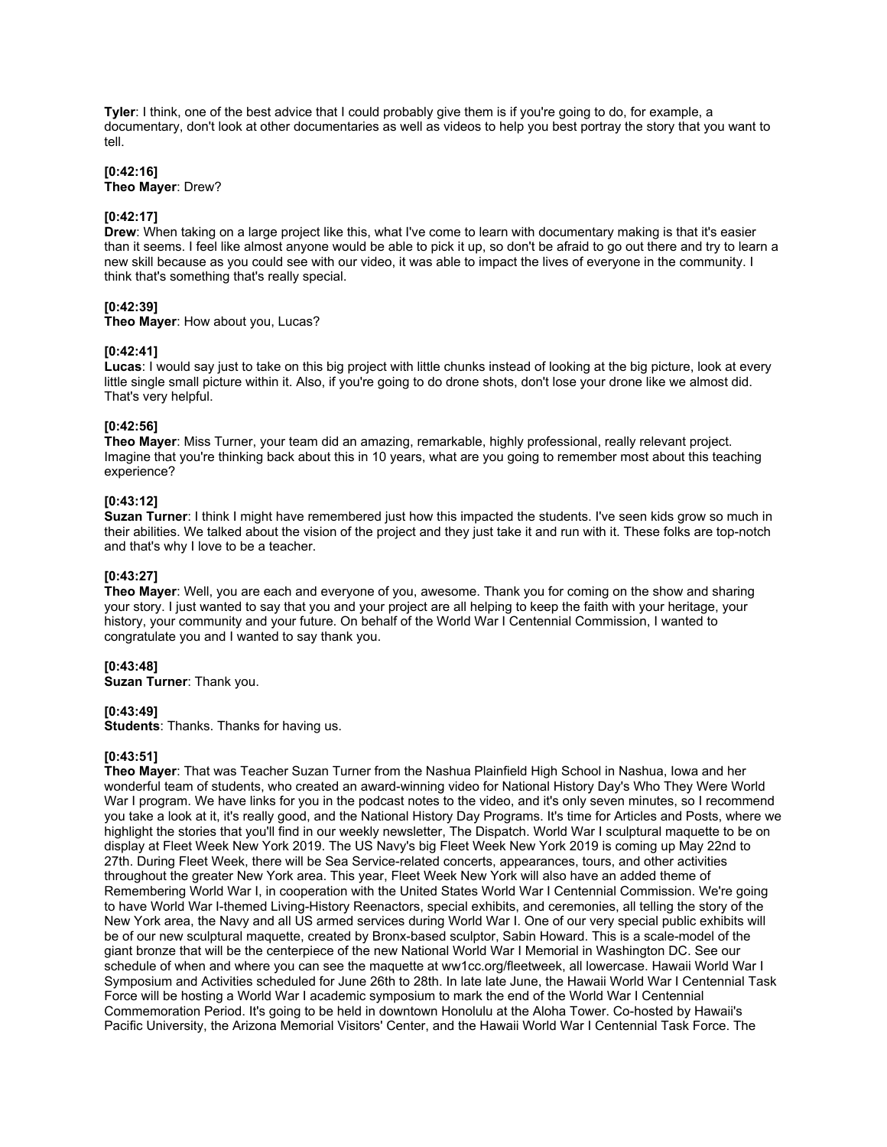**Tyler**: I think, one of the best advice that I could probably give them is if you're going to do, for example, a documentary, don't look at other documentaries as well as videos to help you best portray the story that you want to tell.

#### **[0:42:16] Theo Mayer**: Drew?

## **[0:42:17]**

**Drew**: When taking on a large project like this, what I've come to learn with documentary making is that it's easier than it seems. I feel like almost anyone would be able to pick it up, so don't be afraid to go out there and try to learn a new skill because as you could see with our video, it was able to impact the lives of everyone in the community. I think that's something that's really special.

### **[0:42:39]**

**Theo Mayer**: How about you, Lucas?

### **[0:42:41]**

**Lucas**: I would say just to take on this big project with little chunks instead of looking at the big picture, look at every little single small picture within it. Also, if you're going to do drone shots, don't lose your drone like we almost did. That's very helpful.

### **[0:42:56]**

**Theo Mayer**: Miss Turner, your team did an amazing, remarkable, highly professional, really relevant project. Imagine that you're thinking back about this in 10 years, what are you going to remember most about this teaching experience?

### **[0:43:12]**

**Suzan Turner**: I think I might have remembered just how this impacted the students. I've seen kids grow so much in their abilities. We talked about the vision of the project and they just take it and run with it. These folks are top-notch and that's why I love to be a teacher.

### **[0:43:27]**

**Theo Mayer**: Well, you are each and everyone of you, awesome. Thank you for coming on the show and sharing your story. I just wanted to say that you and your project are all helping to keep the faith with your heritage, your history, your community and your future. On behalf of the World War I Centennial Commission, I wanted to congratulate you and I wanted to say thank you.

### **[0:43:48]**

**Suzan Turner**: Thank you.

### **[0:43:49]**

**Students**: Thanks. Thanks for having us.

# **[0:43:51]**

**Theo Mayer**: That was Teacher Suzan Turner from the Nashua Plainfield High School in Nashua, Iowa and her wonderful team of students, who created an award-winning video for National History Day's Who They Were World War I program. We have links for you in the podcast notes to the video, and it's only seven minutes, so I recommend you take a look at it, it's really good, and the National History Day Programs. It's time for Articles and Posts, where we highlight the stories that you'll find in our weekly newsletter, The Dispatch. World War I sculptural maquette to be on display at Fleet Week New York 2019. The US Navy's big Fleet Week New York 2019 is coming up May 22nd to 27th. During Fleet Week, there will be Sea Service-related concerts, appearances, tours, and other activities throughout the greater New York area. This year, Fleet Week New York will also have an added theme of Remembering World War I, in cooperation with the United States World War I Centennial Commission. We're going to have World War I-themed Living-History Reenactors, special exhibits, and ceremonies, all telling the story of the New York area, the Navy and all US armed services during World War I. One of our very special public exhibits will be of our new sculptural maquette, created by Bronx-based sculptor, Sabin Howard. This is a scale-model of the giant bronze that will be the centerpiece of the new National World War I Memorial in Washington DC. See our schedule of when and where you can see the maquette at ww1cc.org/fleetweek, all lowercase. Hawaii World War I Symposium and Activities scheduled for June 26th to 28th. In late late June, the Hawaii World War I Centennial Task Force will be hosting a World War I academic symposium to mark the end of the World War I Centennial Commemoration Period. It's going to be held in downtown Honolulu at the Aloha Tower. Co-hosted by Hawaii's Pacific University, the Arizona Memorial Visitors' Center, and the Hawaii World War I Centennial Task Force. The